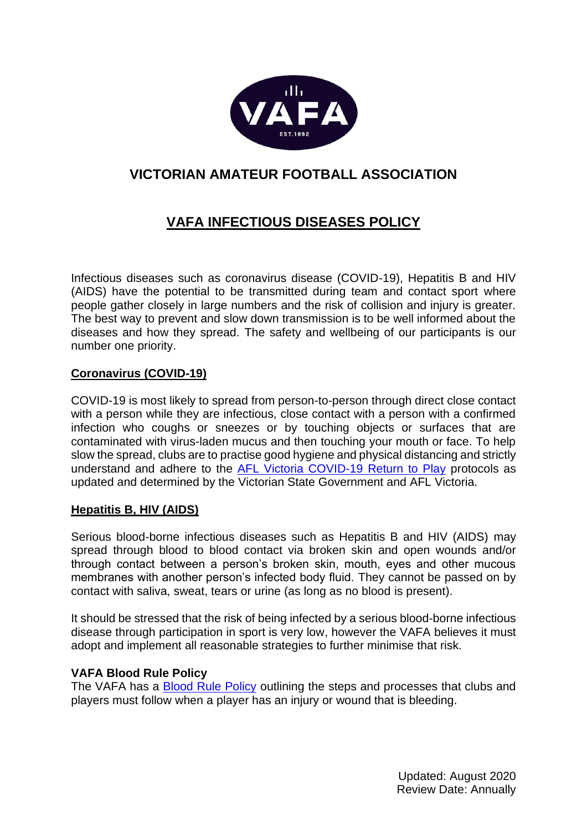

## **VICTORIAN AMATEUR FOOTBALL ASSOCIATION**

# **VAFA INFECTIOUS DISEASES POLICY**

Infectious diseases such as coronavirus disease (COVID-19), Hepatitis B and HIV (AIDS) have the potential to be transmitted during team and contact sport where people gather closely in large numbers and the risk of collision and injury is greater. The best way to prevent and slow down transmission is to be well informed about the diseases and how they spread. The safety and wellbeing of our participants is our number one priority.

## **Coronavirus (COVID-19)**

COVID-19 is most likely to spread from person-to-person through direct close contact with a person while they are infectious, close contact with a person with a confirmed infection who coughs or sneezes or by touching objects or surfaces that are contaminated with virus-laden mucus and then touching your mouth or face. To help slow the spread, clubs are to practise good hygiene and physical distancing and strictly understand and adhere to the AFL Victoria COVID-19 [Return to Play](https://portal.vafa.com.au/wp-content/uploads/2021/02/Return-to-Training-and-Games-Protocols-Feb-5-1.pdf) protocols as updated and determined by the Victorian State Government and AFL Victoria.

## **Hepatitis B, HIV (AIDS)**

Serious blood-borne infectious diseases such as Hepatitis B and HIV (AIDS) may spread through blood to blood contact via broken skin and open wounds and/or through contact between a person's broken skin, mouth, eyes and other mucous membranes with another person's infected body fluid. They cannot be passed on by contact with saliva, sweat, tears or urine (as long as no blood is present).

It should be stressed that the risk of being infected by a serious blood-borne infectious disease through participation in sport is very low, however the VAFA believes it must adopt and implement all reasonable strategies to further minimise that risk.

## **VAFA Blood Rule Policy**

The VAFA has a [Blood Rule Policy](https://portal.vafa.com.au/wp-content/uploads/2020/08/VAFA-Blood-Rule-Policy-FINAL.pdf) outlining the steps and processes that clubs and players must follow when a player has an injury or wound that is bleeding.